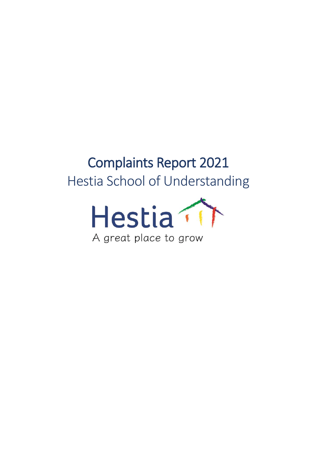# Complaints Report 2021 Hestia School of Understanding

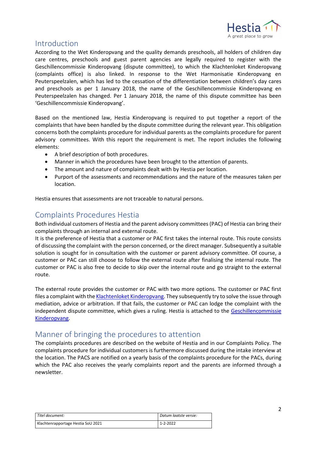

### Introduction

According to the Wet Kinderopvang and the quality demands preschools, all holders of children day care centres, preschools and guest parent agencies are legally required to register with the Geschillencommissie Kinderopvang (dispute committee), to which the Klachtenloket Kinderopvang (complaints office) is also linked. In response to the Wet Harmonisatie Kinderopvang en Peuterspeelzalen, which has led to the cessation of the differentiation between children's day cares and preschools as per 1 January 2018, the name of the Geschillencommissie Kinderopvang en Peuterspeelzalen has changed. Per 1 January 2018, the name of this dispute committee has been 'Geschillencommissie Kinderopvang'.

Based on the mentioned law, Hestia Kinderopvang is required to put together a report of the complaints that have been handled by the dispute committee during the relevant year. This obligation concerns both the complaints procedure for individual parents as the complaints procedure for parent advisory committees. With this report the requirement is met. The report includes the following elements:

- A brief description of both procedures.
- Manner in which the procedures have been brought to the attention of parents.
- The amount and nature of complaints dealt with by Hestia per location.
- Purport of the assessments and recommendations and the nature of the measures taken per location.

Hestia ensures that assessments are not traceable to natural persons.

## Complaints Procedures Hestia

Both individual customers of Hestia and the parent advisory committees (PAC) of Hestia can bring their complaints through an internal and external route.

It is the preference of Hestia that a customer or PAC first takes the internal route. This route consists of discussing the complaint with the person concerned, or the direct manager. Subsequently a suitable solution is sought for in consultation with the customer or parent advisory committee. Of course, a customer or PAC can still choose to follow the external route after finalising the internal route. The customer or PAC is also free to decide to skip over the internal route and go straight to the external route.

The external route provides the customer or PAC with two more options. The customer or PAC first files a complaint with th[e Klachtenloket Kinderopvang.](https://www.klachtenloket-kinderopvang.nl/) They subsequently try to solve the issue through mediation, advice or arbitration. If that fails, the customer or PAC can lodge the complaint with the independent dispute committee, which gives a ruling. Hestia is attached to the Geschillencommissie [Kinderopvang.](https://www.degeschillencommissie.nl/over-ons/commissies/kinderopvang/)

# Manner of bringing the procedures to attention

The complaints procedures are described on the website of Hestia and in our Complaints Policy. The complaints procedure for individual customers is furthermore discussed during the intake interview at the location. The PACS are notified on a yearly basis of the complaints procedure for the PACs, during which the PAC also receives the yearly complaints report and the parents are informed through a newsletter.

| Titel document:                    | Datum laatste versie: |
|------------------------------------|-----------------------|
| Klachtenrapportage Hestia SoU 2021 | 1-2-2022              |